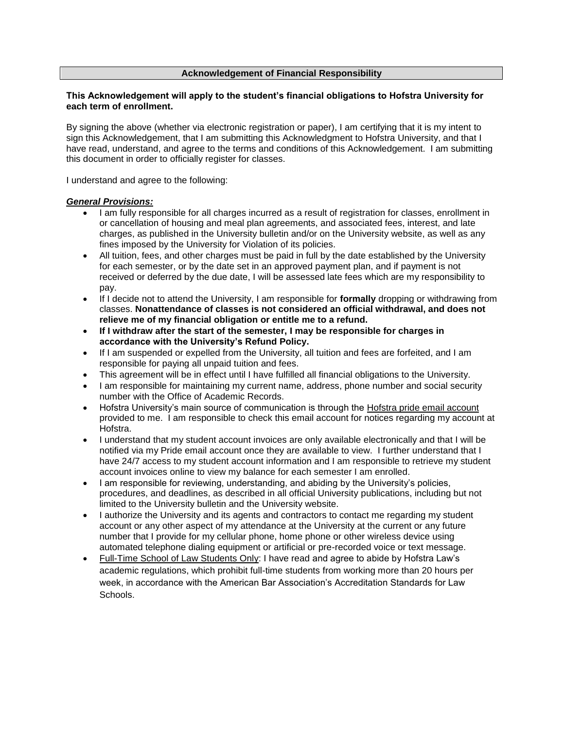### **Acknowledgement of Financial Responsibility**

#### **This Acknowledgement will apply to the student's financial obligations to Hofstra University for each term of enrollment.**

By signing the above (whether via electronic registration or paper), I am certifying that it is my intent to sign this Acknowledgement, that I am submitting this Acknowledgment to Hofstra University, and that I have read, understand, and agree to the terms and conditions of this Acknowledgement. I am submitting this document in order to officially register for classes.

I understand and agree to the following:

### *General Provisions:*

- I am fully responsible for all charges incurred as a result of registration for classes, enrollment in or cancellation of housing and meal plan agreements, and associated fees, interest, and late charges, as published in the University bulletin and/or on the University website, as well as any fines imposed by the University for Violation of its policies.
- All tuition, fees, and other charges must be paid in full by the date established by the University for each semester, or by the date set in an approved payment plan, and if payment is not received or deferred by the due date, I will be assessed late fees which are my responsibility to pay.
- If I decide not to attend the University, I am responsible for **formally** dropping or withdrawing from classes. **Nonattendance of classes is not considered an official withdrawal, and does not relieve me of my financial obligation or entitle me to a refund.**
- **If I withdraw after the start of the semester, I may be responsible for charges in accordance with the University's Refund Policy.**
- If I am suspended or expelled from the University, all tuition and fees are forfeited, and I am responsible for paying all unpaid tuition and fees.
- This agreement will be in effect until I have fulfilled all financial obligations to the University.
- I am responsible for maintaining my current name, address, phone number and social security number with the Office of Academic Records.
- Hofstra University's main source of communication is through the Hofstra pride email account provided to me. I am responsible to check this email account for notices regarding my account at Hofstra.
- I understand that my student account invoices are only available electronically and that I will be notified via my Pride email account once they are available to view. I further understand that I have 24/7 access to my student account information and I am responsible to retrieve my student account invoices online to view my balance for each semester I am enrolled.
- I am responsible for reviewing, understanding, and abiding by the University's policies, procedures, and deadlines, as described in all official University publications, including but not limited to the University bulletin and the University website.
- I authorize the University and its agents and contractors to contact me regarding my student account or any other aspect of my attendance at the University at the current or any future number that I provide for my cellular phone, home phone or other wireless device using automated telephone dialing equipment or artificial or pre-recorded voice or text message.
- Full-Time School of Law Students Only: I have read and agree to abide by Hofstra Law's academic regulations, which prohibit full-time students from working more than 20 hours per week, in accordance with the American Bar Association's Accreditation Standards for Law Schools.